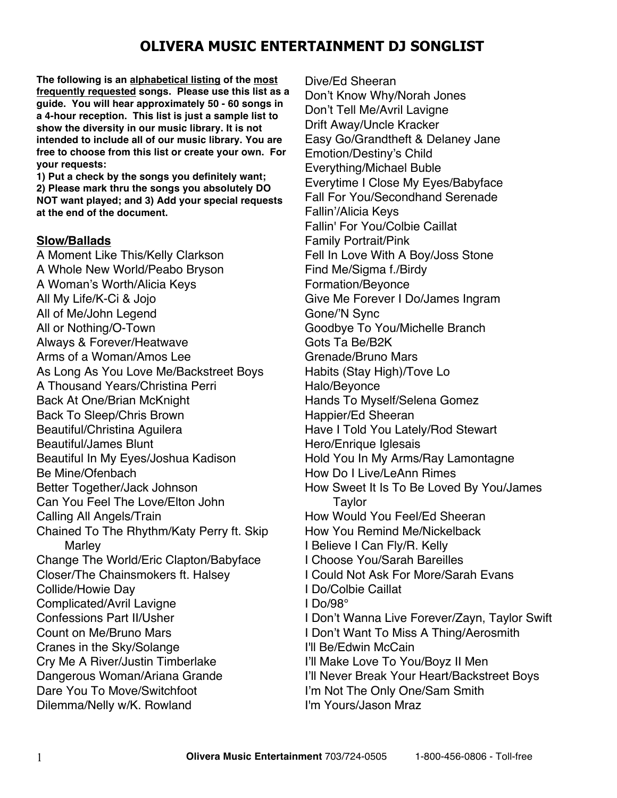**The following is an alphabetical listing of the most frequently requested songs. Please use this list as a guide. You will hear approximately 50 - 60 songs in a 4-hour reception. This list is just a sample list to show the diversity in our music library. It is not intended to include all of our music library. You are free to choose from this list or create your own. For your requests:**

**1) Put a check by the songs you definitely want; 2) Please mark thru the songs you absolutely DO NOT want played; and 3) Add your special requests at the end of the document.**

### **Slow/Ballads**

A Moment Like This/Kelly Clarkson A Whole New World/Peabo Bryson A Woman's Worth/Alicia Keys All My Life/K-Ci & Jojo All of Me/John Legend All or Nothing/O-Town Always & Forever/Heatwave Arms of a Woman/Amos Lee As Long As You Love Me/Backstreet Boys A Thousand Years/Christina Perri Back At One/Brian McKnight Back To Sleep/Chris Brown Beautiful/Christina Aguilera Beautiful/James Blunt Beautiful In My Eyes/Joshua Kadison Be Mine/Ofenbach Better Together/Jack Johnson Can You Feel The Love/Elton John Calling All Angels/Train Chained To The Rhythm/Katy Perry ft. Skip **Marley** Change The World/Eric Clapton/Babyface Closer/The Chainsmokers ft. Halsey Collide/Howie Day Complicated/Avril Lavigne Confessions Part II/Usher Count on Me/Bruno Mars Cranes in the Sky/Solange Cry Me A River/Justin Timberlake Dangerous Woman/Ariana Grande Dare You To Move/Switchfoot Dilemma/Nelly w/K. Rowland

Dive/Ed Sheeran Don't Know Why/Norah Jones Don't Tell Me/Avril Lavigne Drift Away/Uncle Kracker Easy Go/Grandtheft & Delaney Jane Emotion/Destiny's Child Everything/Michael Buble Everytime I Close My Eyes/Babyface Fall For You/Secondhand Serenade Fallin'/Alicia Keys Fallin' For You/Colbie Caillat Family Portrait/Pink Fell In Love With A Boy/Joss Stone Find Me/Sigma f./Birdy Formation/Beyonce Give Me Forever I Do/James Ingram Gone/'N Sync Goodbye To You/Michelle Branch Gots Ta Be/B2K Grenade/Bruno Mars Habits (Stay High)/Tove Lo Halo/Beyonce Hands To Myself/Selena Gomez Happier/Ed Sheeran Have I Told You Lately/Rod Stewart Hero/Enrique Iglesais Hold You In My Arms/Ray Lamontagne How Do I Live/LeAnn Rimes How Sweet It Is To Be Loved By You/James **Taylor** How Would You Feel/Ed Sheeran How You Remind Me/Nickelback I Believe I Can Fly/R. Kelly I Choose You/Sarah Bareilles I Could Not Ask For More/Sarah Evans I Do/Colbie Caillat I Do/98° I Don't Wanna Live Forever/Zayn, Taylor Swift I Don't Want To Miss A Thing/Aerosmith I'll Be/Edwin McCain I'll Make Love To You/Boyz II Men I'll Never Break Your Heart/Backstreet Boys I'm Not The Only One/Sam Smith I'm Yours/Jason Mraz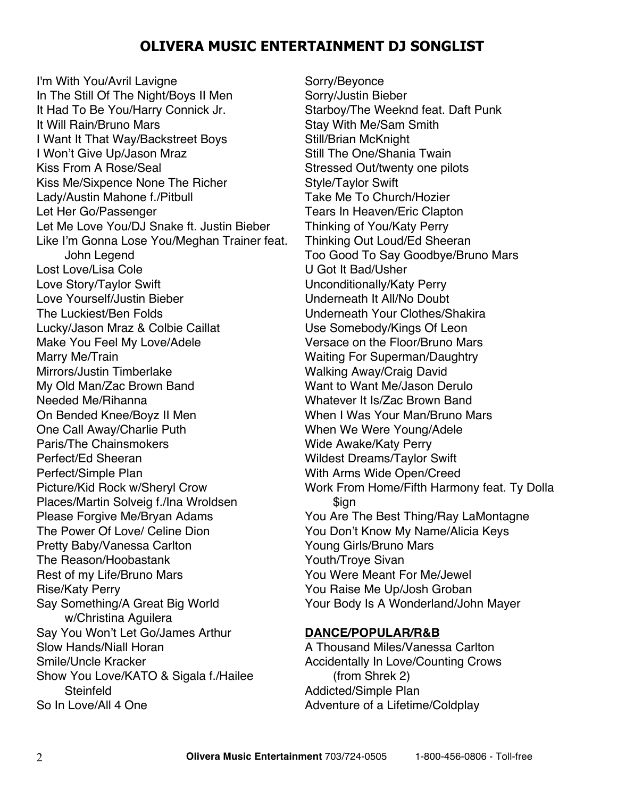I'm With You/Avril Lavigne In The Still Of The Night/Boys II Men It Had To Be You/Harry Connick Jr. It Will Rain/Bruno Mars I Want It That Way/Backstreet Boys I Won't Give Up/Jason Mraz Kiss From A Rose/Seal Kiss Me/Sixpence None The Richer Lady/Austin Mahone f./Pitbull Let Her Go/Passenger Let Me Love You/DJ Snake ft. Justin Bieber Like I'm Gonna Lose You/Meghan Trainer feat. John Legend Lost Love/Lisa Cole Love Story/Taylor Swift Love Yourself/Justin Bieber The Luckiest/Ben Folds Lucky/Jason Mraz & Colbie Caillat Make You Feel My Love/Adele Marry Me/Train Mirrors/Justin Timberlake My Old Man/Zac Brown Band Needed Me/Rihanna On Bended Knee/Boyz II Men One Call Away/Charlie Puth Paris/The Chainsmokers Perfect/Ed Sheeran Perfect/Simple Plan Picture/Kid Rock w/Sheryl Crow Places/Martin Solveig f./Ina Wroldsen Please Forgive Me/Bryan Adams The Power Of Love/ Celine Dion Pretty Baby/Vanessa Carlton The Reason/Hoobastank Rest of my Life/Bruno Mars Rise/Katy Perry Say Something/A Great Big World w/Christina Aguilera Say You Won't Let Go/James Arthur Slow Hands/Niall Horan Smile/Uncle Kracker Show You Love/KATO & Sigala f./Hailee **Steinfeld** So In Love/All 4 One

Sorry/Beyonce Sorry/Justin Bieber Starboy/The Weeknd feat. Daft Punk Stay With Me/Sam Smith Still/Brian McKnight Still The One/Shania Twain Stressed Out/twenty one pilots Style/Taylor Swift Take Me To Church/Hozier Tears In Heaven/Eric Clapton Thinking of You/Katy Perry Thinking Out Loud/Ed Sheeran Too Good To Say Goodbye/Bruno Mars U Got It Bad/Usher Unconditionally/Katy Perry Underneath It All/No Doubt Underneath Your Clothes/Shakira Use Somebody/Kings Of Leon Versace on the Floor/Bruno Mars Waiting For Superman/Daughtry Walking Away/Craig David Want to Want Me/Jason Derulo Whatever It Is/Zac Brown Band When I Was Your Man/Bruno Mars When We Were Young/Adele Wide Awake/Katy Perry Wildest Dreams/Taylor Swift With Arms Wide Open/Creed Work From Home/Fifth Harmony feat. Ty Dolla \$ign You Are The Best Thing/Ray LaMontagne You Don't Know My Name/Alicia Keys Young Girls/Bruno Mars Youth/Troye Sivan You Were Meant For Me/Jewel You Raise Me Up/Josh Groban Your Body Is A Wonderland/John Mayer

#### **DANCE/POPULAR/R&B**

A Thousand Miles/Vanessa Carlton Accidentally In Love/Counting Crows (from Shrek 2) Addicted/Simple Plan Adventure of a Lifetime/Coldplay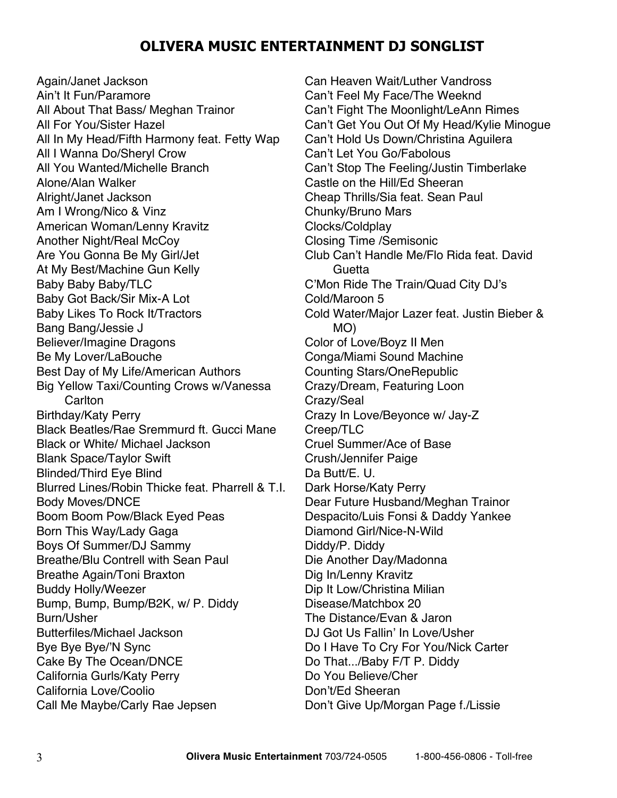Again/Janet Jackson Ain't It Fun/Paramore All About That Bass/ Meghan Trainor All For You/Sister Hazel All In My Head/Fifth Harmony feat. Fetty Wap All I Wanna Do/Sheryl Crow All You Wanted/Michelle Branch Alone/Alan Walker Alright/Janet Jackson Am I Wrong/Nico & Vinz American Woman/Lenny Kravitz Another Night/Real McCoy Are You Gonna Be My Girl/Jet At My Best/Machine Gun Kelly Baby Baby Baby/TLC Baby Got Back/Sir Mix-A Lot Baby Likes To Rock It/Tractors Bang Bang/Jessie J Believer/Imagine Dragons Be My Lover/LaBouche Best Day of My Life/American Authors Big Yellow Taxi/Counting Crows w/Vanessa **Carlton** Birthday/Katy Perry Black Beatles/Rae Sremmurd ft. Gucci Mane Black or White/ Michael Jackson Blank Space/Taylor Swift Blinded/Third Eye Blind Blurred Lines/Robin Thicke feat. Pharrell & T.I. Body Moves/DNCE Boom Boom Pow/Black Eyed Peas Born This Way/Lady Gaga Boys Of Summer/DJ Sammy Breathe/Blu Contrell with Sean Paul Breathe Again/Toni Braxton Buddy Holly/Weezer Bump, Bump, Bump/B2K, w/ P. Diddy Burn/Usher Butterfiles/Michael Jackson Bye Bye Bye/'N Sync Cake By The Ocean/DNCE California Gurls/Katy Perry California Love/Coolio Call Me Maybe/Carly Rae Jepsen

Can Heaven Wait/Luther Vandross Can't Feel My Face/The Weeknd Can't Fight The Moonlight/LeAnn Rimes Can't Get You Out Of My Head/Kylie Minogue Can't Hold Us Down/Christina Aguilera Can't Let You Go/Fabolous Can't Stop The Feeling/Justin Timberlake Castle on the Hill/Ed Sheeran Cheap Thrills/Sia feat. Sean Paul Chunky/Bruno Mars Clocks/Coldplay Closing Time /Semisonic Club Can't Handle Me/Flo Rida feat. David Guetta C'Mon Ride The Train/Quad City DJ's Cold/Maroon 5 Cold Water/Major Lazer feat. Justin Bieber & MO) Color of Love/Boyz II Men Conga/Miami Sound Machine Counting Stars/OneRepublic Crazy/Dream, Featuring Loon Crazy/Seal Crazy In Love/Beyonce w/ Jay-Z Creep/TLC Cruel Summer/Ace of Base Crush/Jennifer Paige Da Butt/E. U. Dark Horse/Katy Perry Dear Future Husband/Meghan Trainor Despacito/Luis Fonsi & Daddy Yankee Diamond Girl/Nice-N-Wild Diddy/P. Diddy Die Another Day/Madonna Dig In/Lenny Kravitz Dip It Low/Christina Milian Disease/Matchbox 20 The Distance/Evan & Jaron DJ Got Us Fallin' In Love/Usher Do I Have To Cry For You/Nick Carter Do That.../Baby F/T P. Diddy Do You Believe/Cher Don't/Ed Sheeran Don't Give Up/Morgan Page f./Lissie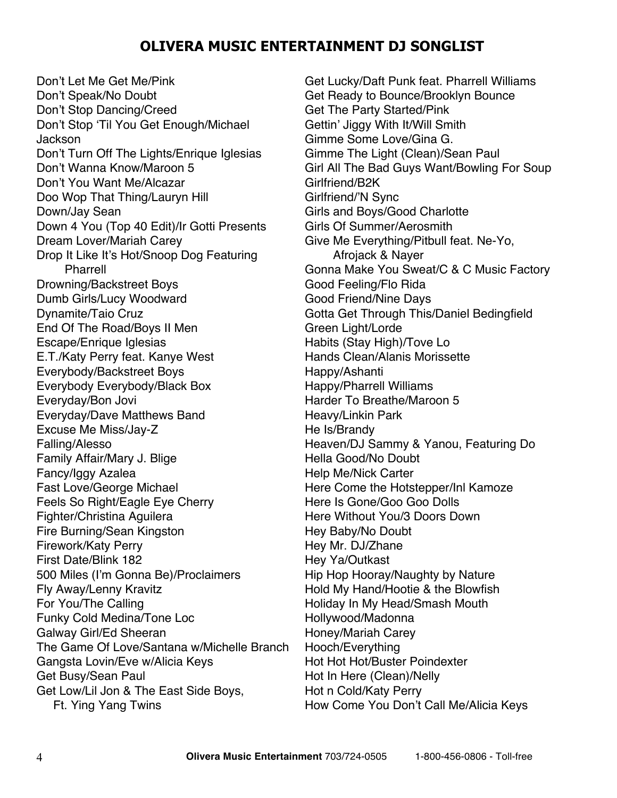Don't Let Me Get Me/Pink Don't Speak/No Doubt Don't Stop Dancing/Creed Don't Stop 'Til You Get Enough/Michael Jackson Don't Turn Off The Lights/Enrique Iglesias Don't Wanna Know/Maroon 5 Don't You Want Me/Alcazar Doo Wop That Thing/Lauryn Hill Down/Jay Sean Down 4 You (Top 40 Edit)/Ir Gotti Presents Dream Lover/Mariah Carey Drop It Like It's Hot/Snoop Dog Featuring Pharrell Drowning/Backstreet Boys Dumb Girls/Lucy Woodward Dynamite/Taio Cruz End Of The Road/Boys II Men Escape/Enrique Iglesias E.T./Katy Perry feat. Kanye West Everybody/Backstreet Boys Everybody Everybody/Black Box Everyday/Bon Jovi Everyday/Dave Matthews Band Excuse Me Miss/Jay-Z Falling/Alesso Family Affair/Mary J. Blige Fancy/Iggy Azalea Fast Love/George Michael Feels So Right/Eagle Eye Cherry Fighter/Christina Aguilera Fire Burning/Sean Kingston Firework/Katy Perry First Date/Blink 182 500 Miles (I'm Gonna Be)/Proclaimers Fly Away/Lenny Kravitz For You/The Calling Funky Cold Medina/Tone Loc Galway Girl/Ed Sheeran The Game Of Love/Santana w/Michelle Branch Gangsta Lovin/Eve w/Alicia Keys Get Busy/Sean Paul Get Low/Lil Jon & The East Side Boys, Ft. Ying Yang Twins

Get Lucky/Daft Punk feat. Pharrell Williams Get Ready to Bounce/Brooklyn Bounce Get The Party Started/Pink Gettin' Jiggy With It/Will Smith Gimme Some Love/Gina G. Gimme The Light (Clean)/Sean Paul Girl All The Bad Guys Want/Bowling For Soup Girlfriend/B2K Girlfriend/'N Sync Girls and Boys/Good Charlotte Girls Of Summer/Aerosmith Give Me Everything/Pitbull feat. Ne-Yo, Afrojack & Nayer Gonna Make You Sweat/C & C Music Factory Good Feeling/Flo Rida Good Friend/Nine Days Gotta Get Through This/Daniel Bedingfield Green Light/Lorde Habits (Stay High)/Tove Lo Hands Clean/Alanis Morissette Happy/Ashanti Happy/Pharrell Williams Harder To Breathe/Maroon 5 Heavy/Linkin Park He Is/Brandy Heaven/DJ Sammy & Yanou, Featuring Do Hella Good/No Doubt Help Me/Nick Carter Here Come the Hotstepper/Inl Kamoze Here Is Gone/Goo Goo Dolls Here Without You/3 Doors Down Hey Baby/No Doubt Hey Mr. DJ/Zhane Hey Ya/Outkast Hip Hop Hooray/Naughty by Nature Hold My Hand/Hootie & the Blowfish Holiday In My Head/Smash Mouth Hollywood/Madonna Honey/Mariah Carey Hooch/Everything Hot Hot Hot/Buster Poindexter Hot In Here (Clean)/Nelly Hot n Cold/Katy Perry How Come You Don't Call Me/Alicia Keys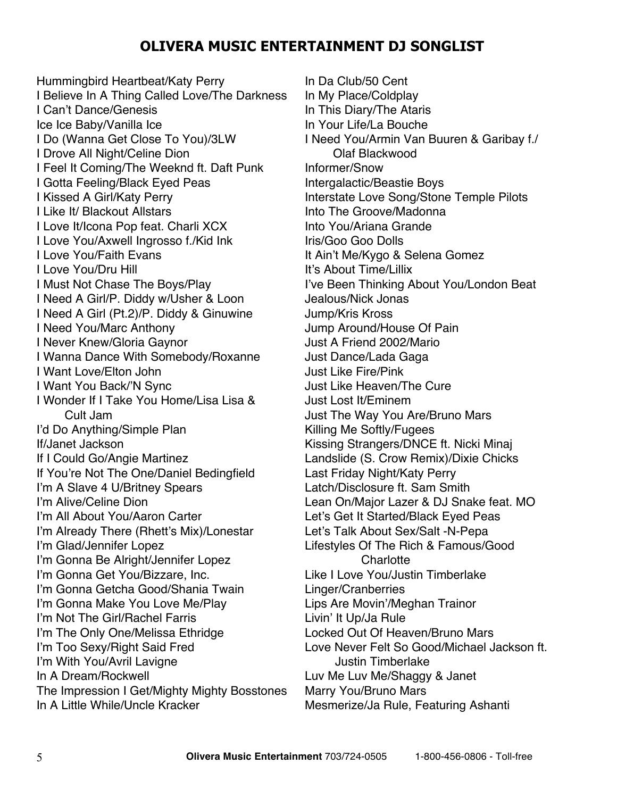Hummingbird Heartbeat/Katy Perry I Believe In A Thing Called Love/The Darkness I Can't Dance/Genesis Ice Ice Baby/Vanilla Ice I Do (Wanna Get Close To You)/3LW I Drove All Night/Celine Dion I Feel It Coming/The Weeknd ft. Daft Punk I Gotta Feeling/Black Eyed Peas I Kissed A Girl/Katy Perry I Like It/ Blackout Allstars I Love It/Icona Pop feat. Charli XCX I Love You/Axwell Ingrosso f./Kid Ink I Love You/Faith Evans I Love You/Dru Hill I Must Not Chase The Boys/Play I Need A Girl/P. Diddy w/Usher & Loon I Need A Girl (Pt.2)/P. Diddy & Ginuwine I Need You/Marc Anthony I Never Knew/Gloria Gaynor I Wanna Dance With Somebody/Roxanne I Want Love/Elton John I Want You Back/'N Sync I Wonder If I Take You Home/Lisa Lisa & Cult Jam I'd Do Anything/Simple Plan If/Janet Jackson If I Could Go/Angie Martinez If You're Not The One/Daniel Bedingfield I'm A Slave 4 U/Britney Spears I'm Alive/Celine Dion I'm All About You/Aaron Carter I'm Already There (Rhett's Mix)/Lonestar I'm Glad/Jennifer Lopez I'm Gonna Be Alright/Jennifer Lopez I'm Gonna Get You/Bizzare, Inc. I'm Gonna Getcha Good/Shania Twain I'm Gonna Make You Love Me/Play I'm Not The Girl/Rachel Farris I'm The Only One/Melissa Ethridge I'm Too Sexy/Right Said Fred I'm With You/Avril Lavigne In A Dream/Rockwell The Impression I Get/Mighty Mighty Bosstones In A Little While/Uncle Kracker

In Da Club/50 Cent In My Place/Coldplay In This Diary/The Ataris In Your Life/La Bouche I Need You/Armin Van Buuren & Garibay f./ Olaf Blackwood Informer/Snow Intergalactic/Beastie Boys Interstate Love Song/Stone Temple Pilots Into The Groove/Madonna Into You/Ariana Grande Iris/Goo Goo Dolls It Ain't Me/Kygo & Selena Gomez It's About Time/Lillix I've Been Thinking About You/London Beat Jealous/Nick Jonas Jump/Kris Kross Jump Around/House Of Pain Just A Friend 2002/Mario Just Dance/Lada Gaga Just Like Fire/Pink Just Like Heaven/The Cure Just Lost It/Eminem Just The Way You Are/Bruno Mars Killing Me Softly/Fugees Kissing Strangers/DNCE ft. Nicki Minaj Landslide (S. Crow Remix)/Dixie Chicks Last Friday Night/Katy Perry Latch/Disclosure ft. Sam Smith Lean On/Major Lazer & DJ Snake feat. MO Let's Get It Started/Black Eyed Peas Let's Talk About Sex/Salt -N-Pepa Lifestyles Of The Rich & Famous/Good **Charlotte** Like I Love You/Justin Timberlake Linger/Cranberries Lips Are Movin'/Meghan Trainor Livin' It Up/Ja Rule Locked Out Of Heaven/Bruno Mars Love Never Felt So Good/Michael Jackson ft. Justin Timberlake Luv Me Luv Me/Shaggy & Janet Marry You/Bruno Mars Mesmerize/Ja Rule, Featuring Ashanti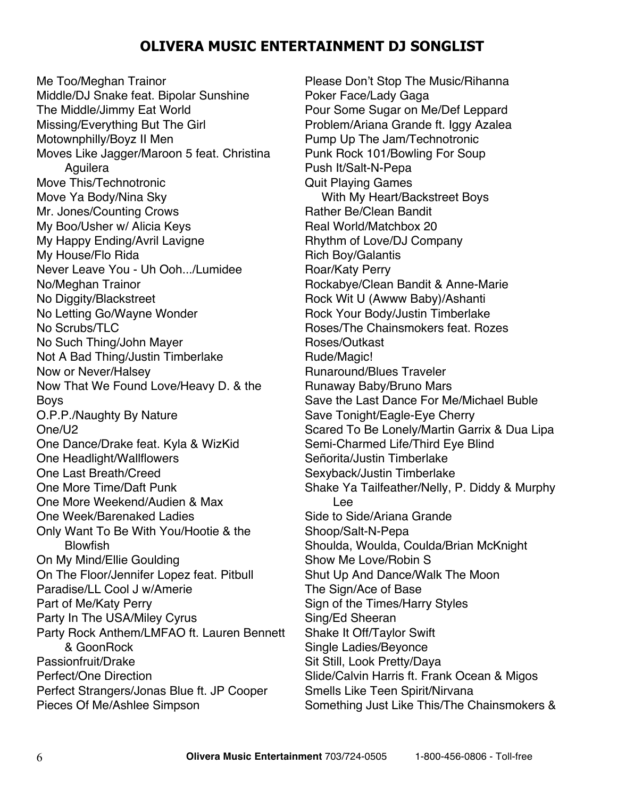Me Too/Meghan Trainor Middle/DJ Snake feat. Bipolar Sunshine The Middle/Jimmy Eat World Missing/Everything But The Girl Motownphilly/Boyz II Men Moves Like Jagger/Maroon 5 feat. Christina **Aguilera** Move This/Technotronic Move Ya Body/Nina Sky Mr. Jones/Counting Crows My Boo/Usher w/ Alicia Keys My Happy Ending/Avril Lavigne My House/Flo Rida Never Leave You - Uh Ooh.../Lumidee No/Meghan Trainor No Diggity/Blackstreet No Letting Go/Wayne Wonder No Scrubs/TLC No Such Thing/John Mayer Not A Bad Thing/Justin Timberlake Now or Never/Halsey Now That We Found Love/Heavy D. & the Boys O.P.P./Naughty By Nature One/U2 One Dance/Drake feat. Kyla & WizKid One Headlight/Wallflowers One Last Breath/Creed One More Time/Daft Punk One More Weekend/Audien & Max One Week/Barenaked Ladies Only Want To Be With You/Hootie & the Blowfish On My Mind/Ellie Goulding On The Floor/Jennifer Lopez feat. Pitbull Paradise/LL Cool J w/Amerie Part of Me/Katy Perry Party In The USA/Miley Cyrus Party Rock Anthem/LMFAO ft. Lauren Bennett & GoonRock Passionfruit/Drake Perfect/One Direction Perfect Strangers/Jonas Blue ft. JP Cooper Pieces Of Me/Ashlee Simpson

Please Don't Stop The Music/Rihanna Poker Face/Lady Gaga Pour Some Sugar on Me/Def Leppard Problem/Ariana Grande ft. Iggy Azalea Pump Up The Jam/Technotronic Punk Rock 101/Bowling For Soup Push It/Salt-N-Pepa Quit Playing Games With My Heart/Backstreet Boys Rather Be/Clean Bandit Real World/Matchbox 20 Rhythm of Love/DJ Company Rich Boy/Galantis Roar/Katy Perry Rockabye/Clean Bandit & Anne-Marie Rock Wit U (Awww Baby)/Ashanti Rock Your Body/Justin Timberlake Roses/The Chainsmokers feat. Rozes Roses/Outkast Rude/Magic! Runaround/Blues Traveler Runaway Baby/Bruno Mars Save the Last Dance For Me/Michael Buble Save Tonight/Eagle-Eye Cherry Scared To Be Lonely/Martin Garrix & Dua Lipa Semi-Charmed Life/Third Eye Blind Señorita/Justin Timberlake Sexyback/Justin Timberlake Shake Ya Tailfeather/Nelly, P. Diddy & Murphy Lee Side to Side/Ariana Grande Shoop/Salt-N-Pepa Shoulda, Woulda, Coulda/Brian McKnight Show Me Love/Robin S Shut Up And Dance/Walk The Moon The Sign/Ace of Base Sign of the Times/Harry Styles Sing/Ed Sheeran Shake It Off/Taylor Swift Single Ladies/Beyonce Sit Still, Look Pretty/Daya Slide/Calvin Harris ft. Frank Ocean & Migos Smells Like Teen Spirit/Nirvana Something Just Like This/The Chainsmokers &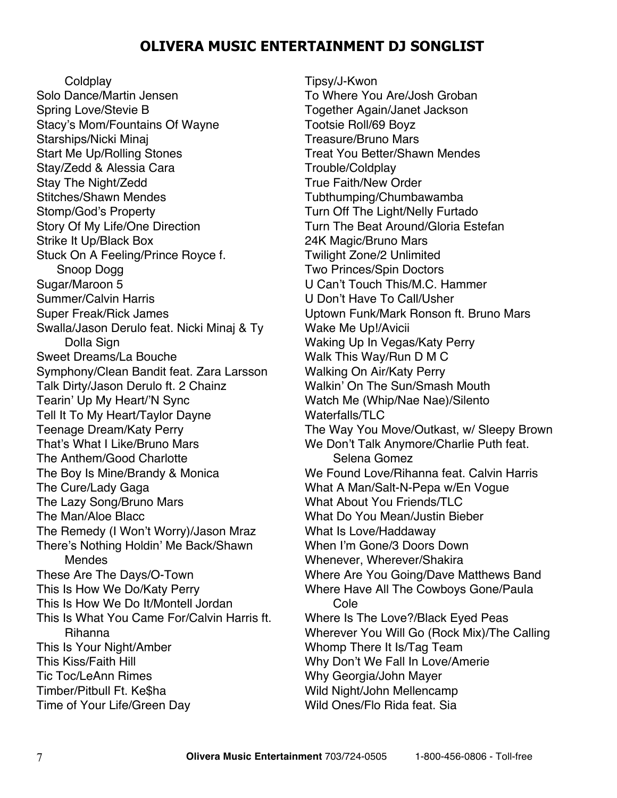**Coldplay** 

Solo Dance/Martin Jensen Spring Love/Stevie B Stacy's Mom/Fountains Of Wayne Starships/Nicki Minaj Start Me Up/Rolling Stones Stay/Zedd & Alessia Cara Stay The Night/Zedd Stitches/Shawn Mendes Stomp/God's Property Story Of My Life/One Direction Strike It Up/Black Box Stuck On A Feeling/Prince Royce f. Snoop Dogg Sugar/Maroon 5 Summer/Calvin Harris Super Freak/Rick James Swalla/Jason Derulo feat. Nicki Minaj & Ty Dolla Sign Sweet Dreams/La Bouche Symphony/Clean Bandit feat. Zara Larsson Talk Dirty/Jason Derulo ft. 2 Chainz Tearin' Up My Heart/'N Sync Tell It To My Heart/Taylor Dayne Teenage Dream/Katy Perry That's What I Like/Bruno Mars The Anthem/Good Charlotte The Boy Is Mine/Brandy & Monica The Cure/Lady Gaga The Lazy Song/Bruno Mars The Man/Aloe Blacc The Remedy (I Won't Worry)/Jason Mraz There's Nothing Holdin' Me Back/Shawn Mendes These Are The Days/O-Town This Is How We Do/Katy Perry This Is How We Do It/Montell Jordan This Is What You Came For/Calvin Harris ft. Rihanna This Is Your Night/Amber This Kiss/Faith Hill Tic Toc/LeAnn Rimes Timber/Pitbull Ft. Ke\$ha Time of Your Life/Green Day

Tipsy/J-Kwon To Where You Are/Josh Groban Together Again/Janet Jackson Tootsie Roll/69 Boyz Treasure/Bruno Mars Treat You Better/Shawn Mendes Trouble/Coldplay True Faith/New Order Tubthumping/Chumbawamba Turn Off The Light/Nelly Furtado Turn The Beat Around/Gloria Estefan 24K Magic/Bruno Mars Twilight Zone/2 Unlimited Two Princes/Spin Doctors U Can't Touch This/M.C. Hammer U Don't Have To Call/Usher Uptown Funk/Mark Ronson ft. Bruno Mars Wake Me Up!/Avicii Waking Up In Vegas/Katy Perry Walk This Way/Run D M C Walking On Air/Katy Perry Walkin' On The Sun/Smash Mouth Watch Me (Whip/Nae Nae)/Silento Waterfalls/TLC The Way You Move/Outkast, w/ Sleepy Brown We Don't Talk Anymore/Charlie Puth feat. Selena Gomez We Found Love/Rihanna feat. Calvin Harris What A Man/Salt-N-Pepa w/En Vogue What About You Friends/TLC What Do You Mean/Justin Bieber What Is Love/Haddaway When I'm Gone/3 Doors Down Whenever, Wherever/Shakira Where Are You Going/Dave Matthews Band Where Have All The Cowboys Gone/Paula Cole Where Is The Love?/Black Eyed Peas Wherever You Will Go (Rock Mix)/The Calling Whomp There It Is/Tag Team Why Don't We Fall In Love/Amerie Why Georgia/John Mayer Wild Night/John Mellencamp Wild Ones/Flo Rida feat. Sia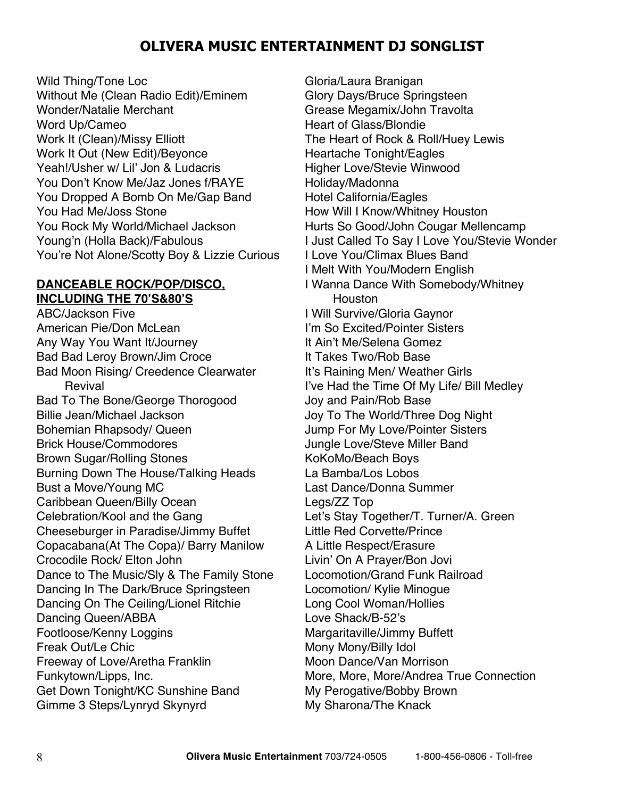Wild Thing/Tone Loc Without Me (Clean Radio Edit)/Eminem Wonder/Natalie Merchant Word Up/Cameo Work It (Clean)/Missy Elliott Work It Out (New Edit)/Beyonce Yeah!/Usher w/ Lil' Jon & Ludacris You Don't Know Me/Jaz Jones f/RAYE You Dropped A Bomb On Me/Gap Band You Had Me/Joss Stone You Rock My World/Michael Jackson Young'n (Holla Back)/Fabulous You're Not Alone/Scotty Boy & Lizzie Curious

### **DANCEABLE ROCK/POP/DISCO, INCLUDING THE 70'S&80'S**

ABC/Jackson Five American Pie/Don McLean Any Way You Want It/Journey Bad Bad Leroy Brown/Jim Croce Bad Moon Rising/ Creedence Clearwater Revival Bad To The Bone/George Thorogood Billie Jean/Michael Jackson Bohemian Rhapsody/ Queen Brick House/Commodores Brown Sugar/Rolling Stones Burning Down The House/Talking Heads Bust a Move/Young MC Caribbean Queen/Billy Ocean Celebration/Kool and the Gang Cheeseburger in Paradise/Jimmy Buffet Copacabana(At The Copa)/ Barry Manilow Crocodile Rock/ Elton John Dance to The Music/Sly & The Family Stone Dancing In The Dark/Bruce Springsteen Dancing On The Ceiling/Lionel Ritchie Dancing Queen/ABBA Footloose/Kenny Loggins Freak Out/Le Chic Freeway of Love/Aretha Franklin Funkytown/Lipps, Inc. Get Down Tonight/KC Sunshine Band Gimme 3 Steps/Lynryd Skynyrd

Gloria/Laura Branigan Glory Days/Bruce Springsteen Grease Megamix/John Travolta Heart of Glass/Blondie The Heart of Rock & Roll/Huey Lewis Heartache Tonight/Eagles Higher Love/Stevie Winwood Holiday/Madonna Hotel California/Eagles How Will I Know/Whitney Houston Hurts So Good/John Cougar Mellencamp I Just Called To Say I Love You/Stevie Wonder I Love You/Climax Blues Band I Melt With You/Modern English I Wanna Dance With Somebody/Whitney **Houston** I Will Survive/Gloria Gaynor I'm So Excited/Pointer Sisters It Ain't Me/Selena Gomez It Takes Two/Rob Base It's Raining Men/ Weather Girls I've Had the Time Of My Life/ Bill Medley Joy and Pain/Rob Base Joy To The World/Three Dog Night Jump For My Love/Pointer Sisters Jungle Love/Steve Miller Band KoKoMo/Beach Boys La Bamba/Los Lobos Last Dance/Donna Summer Legs/ZZ Top Let's Stay Together/T. Turner/A. Green Little Red Corvette/Prince A Little Respect/Erasure Livin' On A Prayer/Bon Jovi Locomotion/Grand Funk Railroad Locomotion/ Kylie Minogue Long Cool Woman/Hollies Love Shack/B-52's Margaritaville/Jimmy Buffett Mony Mony/Billy Idol Moon Dance/Van Morrison More, More, More/Andrea True Connection My Perogative/Bobby Brown My Sharona/The Knack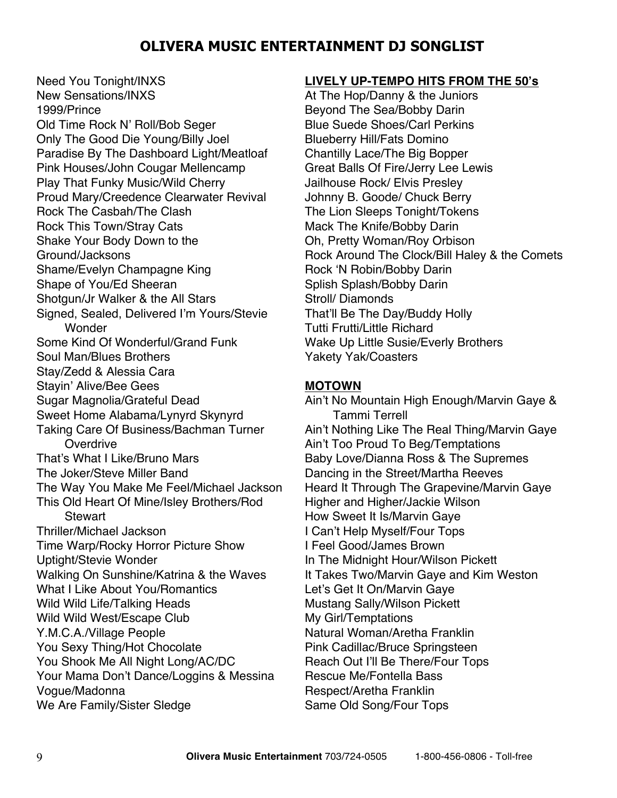Need You Tonight/INXS New Sensations/INXS 1999/Prince Old Time Rock N' Roll/Bob Seger Only The Good Die Young/Billy Joel Paradise By The Dashboard Light/Meatloaf Pink Houses/John Cougar Mellencamp Play That Funky Music/Wild Cherry Proud Mary/Creedence Clearwater Revival Rock The Casbah/The Clash Rock This Town/Stray Cats Shake Your Body Down to the Ground/Jacksons Shame/Evelyn Champagne King Shape of You/Ed Sheeran Shotgun/Jr Walker & the All Stars Signed, Sealed, Delivered I'm Yours/Stevie **Wonder** Some Kind Of Wonderful/Grand Funk Soul Man/Blues Brothers Stay/Zedd & Alessia Cara Stayin' Alive/Bee Gees Sugar Magnolia/Grateful Dead Sweet Home Alabama/Lynyrd Skynyrd Taking Care Of Business/Bachman Turner **Overdrive** That's What I Like/Bruno Mars The Joker/Steve Miller Band The Way You Make Me Feel/Michael Jackson This Old Heart Of Mine/Isley Brothers/Rod **Stewart** Thriller/Michael Jackson Time Warp/Rocky Horror Picture Show Uptight/Stevie Wonder Walking On Sunshine/Katrina & the Waves What I Like About You/Romantics Wild Wild Life/Talking Heads Wild Wild West/Escape Club Y.M.C.A./Village People You Sexy Thing/Hot Chocolate You Shook Me All Night Long/AC/DC Your Mama Don't Dance/Loggins & Messina Vogue/Madonna We Are Family/Sister Sledge

#### **LIVELY UP-TEMPO HITS FROM THE 50's**

At The Hop/Danny & the Juniors Beyond The Sea/Bobby Darin Blue Suede Shoes/Carl Perkins Blueberry Hill/Fats Domino Chantilly Lace/The Big Bopper Great Balls Of Fire/Jerry Lee Lewis Jailhouse Rock/ Elvis Presley Johnny B. Goode/ Chuck Berry The Lion Sleeps Tonight/Tokens Mack The Knife/Bobby Darin Oh, Pretty Woman/Roy Orbison Rock Around The Clock/Bill Haley & the Comets Rock 'N Robin/Bobby Darin Splish Splash/Bobby Darin Stroll/ Diamonds That'll Be The Day/Buddy Holly Tutti Frutti/Little Richard Wake Up Little Susie/Everly Brothers Yakety Yak/Coasters

#### **MOTOWN**

Ain't No Mountain High Enough/Marvin Gaye & Tammi Terrell Ain't Nothing Like The Real Thing/Marvin Gaye Ain't Too Proud To Beg/Temptations Baby Love/Dianna Ross & The Supremes Dancing in the Street/Martha Reeves Heard It Through The Grapevine/Marvin Gaye Higher and Higher/Jackie Wilson How Sweet It Is/Marvin Gaye I Can't Help Myself/Four Tops I Feel Good/James Brown In The Midnight Hour/Wilson Pickett It Takes Two/Marvin Gaye and Kim Weston Let's Get It On/Marvin Gaye Mustang Sally/Wilson Pickett My Girl/Temptations Natural Woman/Aretha Franklin Pink Cadillac/Bruce Springsteen Reach Out I'll Be There/Four Tops Rescue Me/Fontella Bass Respect/Aretha Franklin Same Old Song/Four Tops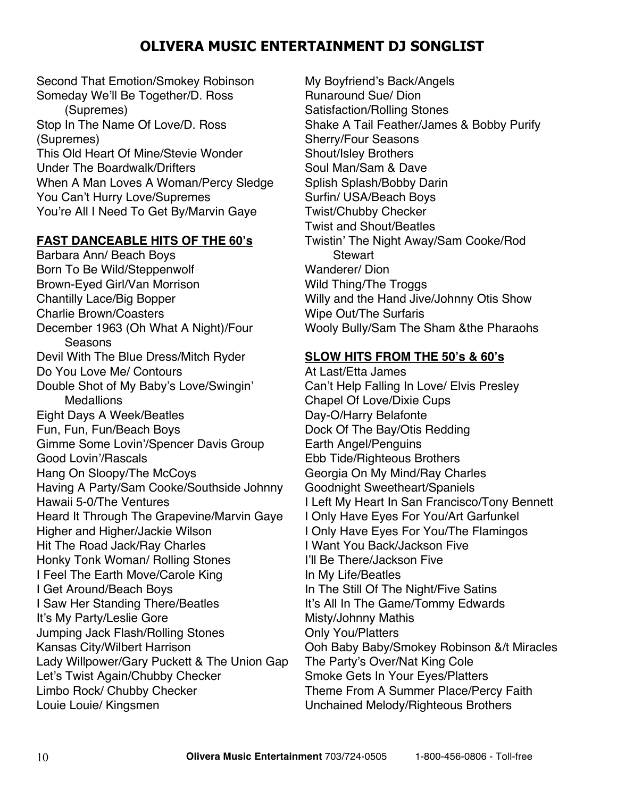Second That Emotion/Smokey Robinson Someday We'll Be Together/D. Ross (Supremes) Stop In The Name Of Love/D. Ross (Supremes) This Old Heart Of Mine/Stevie Wonder Under The Boardwalk/Drifters When A Man Loves A Woman/Percy Sledge You Can't Hurry Love/Supremes You're All I Need To Get By/Marvin Gaye

### **FAST DANCEABLE HITS OF THE 60's**

Barbara Ann/ Beach Boys Born To Be Wild/Steppenwolf Brown-Eyed Girl/Van Morrison Chantilly Lace/Big Bopper Charlie Brown/Coasters December 1963 (Oh What A Night)/Four Seasons Devil With The Blue Dress/Mitch Ryder Do You Love Me/ Contours Double Shot of My Baby's Love/Swingin' **Medallions** Eight Days A Week/Beatles Fun, Fun, Fun/Beach Boys Gimme Some Lovin'/Spencer Davis Group Good Lovin'/Rascals Hang On Sloopy/The McCoys Having A Party/Sam Cooke/Southside Johnny Hawaii 5-0/The Ventures Heard It Through The Grapevine/Marvin Gaye Higher and Higher/Jackie Wilson Hit The Road Jack/Ray Charles Honky Tonk Woman/ Rolling Stones I Feel The Earth Move/Carole King I Get Around/Beach Boys I Saw Her Standing There/Beatles It's My Party/Leslie Gore Jumping Jack Flash/Rolling Stones Kansas City/Wilbert Harrison Lady Willpower/Gary Puckett & The Union Gap Let's Twist Again/Chubby Checker Limbo Rock/ Chubby Checker Louie Louie/ Kingsmen

My Boyfriend's Back/Angels Runaround Sue/ Dion Satisfaction/Rolling Stones Shake A Tail Feather/James & Bobby Purify Sherry/Four Seasons Shout/Isley Brothers Soul Man/Sam & Dave Splish Splash/Bobby Darin Surfin/ USA/Beach Boys Twist/Chubby Checker Twist and Shout/Beatles Twistin' The Night Away/Sam Cooke/Rod **Stewart** Wanderer/ Dion Wild Thing/The Troggs Willy and the Hand Jive/Johnny Otis Show Wipe Out/The Surfaris Wooly Bully/Sam The Sham &the Pharaohs

#### **SLOW HITS FROM THE 50's & 60's**

At Last/Etta James Can't Help Falling In Love/ Elvis Presley Chapel Of Love/Dixie Cups Day-O/Harry Belafonte Dock Of The Bay/Otis Redding Earth Angel/Penguins Ebb Tide/Righteous Brothers Georgia On My Mind/Ray Charles Goodnight Sweetheart/Spaniels I Left My Heart In San Francisco/Tony Bennett I Only Have Eyes For You/Art Garfunkel I Only Have Eyes For You/The Flamingos I Want You Back/Jackson Five I'll Be There/Jackson Five In My Life/Beatles In The Still Of The Night/Five Satins It's All In The Game/Tommy Edwards Misty/Johnny Mathis Only You/Platters Ooh Baby Baby/Smokey Robinson &/t Miracles The Party's Over/Nat King Cole Smoke Gets In Your Eyes/Platters Theme From A Summer Place/Percy Faith Unchained Melody/Righteous Brothers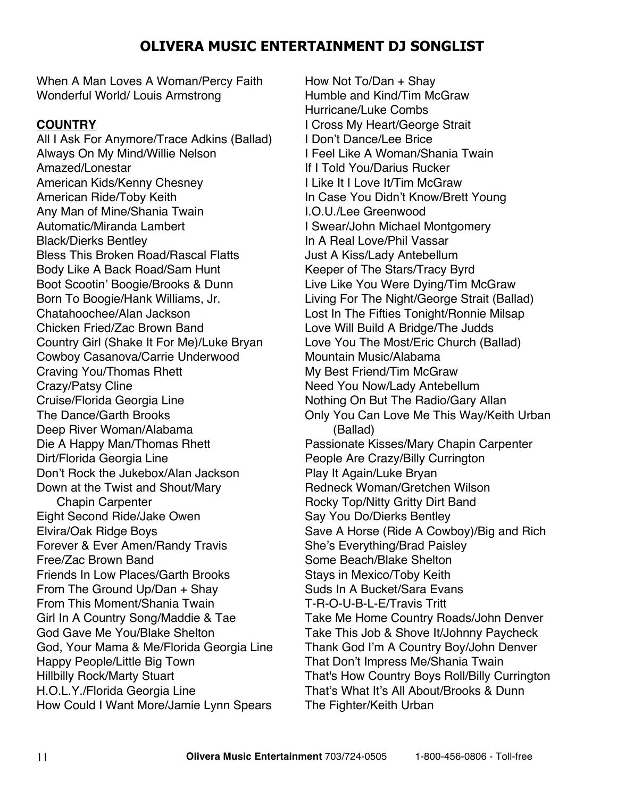When A Man Loves A Woman/Percy Faith Wonderful World/ Louis Armstrong

### **COUNTRY**

All I Ask For Anymore/Trace Adkins (Ballad) Always On My Mind/Willie Nelson Amazed/Lonestar American Kids/Kenny Chesney American Ride/Toby Keith Any Man of Mine/Shania Twain Automatic/Miranda Lambert Black/Dierks Bentley Bless This Broken Road/Rascal Flatts Body Like A Back Road/Sam Hunt Boot Scootin' Boogie/Brooks & Dunn Born To Boogie/Hank Williams, Jr. Chatahoochee/Alan Jackson Chicken Fried/Zac Brown Band Country Girl (Shake It For Me)/Luke Bryan Cowboy Casanova/Carrie Underwood Craving You/Thomas Rhett Crazy/Patsy Cline Cruise/Florida Georgia Line The Dance/Garth Brooks Deep River Woman/Alabama Die A Happy Man/Thomas Rhett Dirt/Florida Georgia Line Don't Rock the Jukebox/Alan Jackson Down at the Twist and Shout/Mary Chapin Carpenter Eight Second Ride/Jake Owen Elvira/Oak Ridge Boys Forever & Ever Amen/Randy Travis Free/Zac Brown Band Friends In Low Places/Garth Brooks From The Ground Up/Dan + Shay From This Moment/Shania Twain Girl In A Country Song/Maddie & Tae God Gave Me You/Blake Shelton God, Your Mama & Me/Florida Georgia Line Happy People/Little Big Town Hillbilly Rock/Marty Stuart H.O.L.Y./Florida Georgia Line How Could I Want More/Jamie Lynn Spears

How Not To/Dan + Shay Humble and Kind/Tim McGraw Hurricane/Luke Combs I Cross My Heart/George Strait I Don't Dance/Lee Brice I Feel Like A Woman/Shania Twain If I Told You/Darius Rucker I Like It I Love It/Tim McGraw In Case You Didn't Know/Brett Young I.O.U./Lee Greenwood I Swear/John Michael Montgomery In A Real Love/Phil Vassar Just A Kiss/Lady Antebellum Keeper of The Stars/Tracy Byrd Live Like You Were Dying/Tim McGraw Living For The Night/George Strait (Ballad) Lost In The Fifties Tonight/Ronnie Milsap Love Will Build A Bridge/The Judds Love You The Most/Eric Church (Ballad) Mountain Music/Alabama My Best Friend/Tim McGraw Need You Now/Lady Antebellum Nothing On But The Radio/Gary Allan Only You Can Love Me This Way/Keith Urban (Ballad) Passionate Kisses/Mary Chapin Carpenter People Are Crazy/Billy Currington Play It Again/Luke Bryan Redneck Woman/Gretchen Wilson Rocky Top/Nitty Gritty Dirt Band Say You Do/Dierks Bentley Save A Horse (Ride A Cowboy)/Big and Rich She's Everything/Brad Paisley Some Beach/Blake Shelton Stays in Mexico/Toby Keith Suds In A Bucket/Sara Evans T-R-O-U-B-L-E/Travis Tritt Take Me Home Country Roads/John Denver Take This Job & Shove It/Johnny Paycheck Thank God I'm A Country Boy/John Denver That Don't Impress Me/Shania Twain That's How Country Boys Roll/Billy Currington That's What It's All About/Brooks & Dunn The Fighter/Keith Urban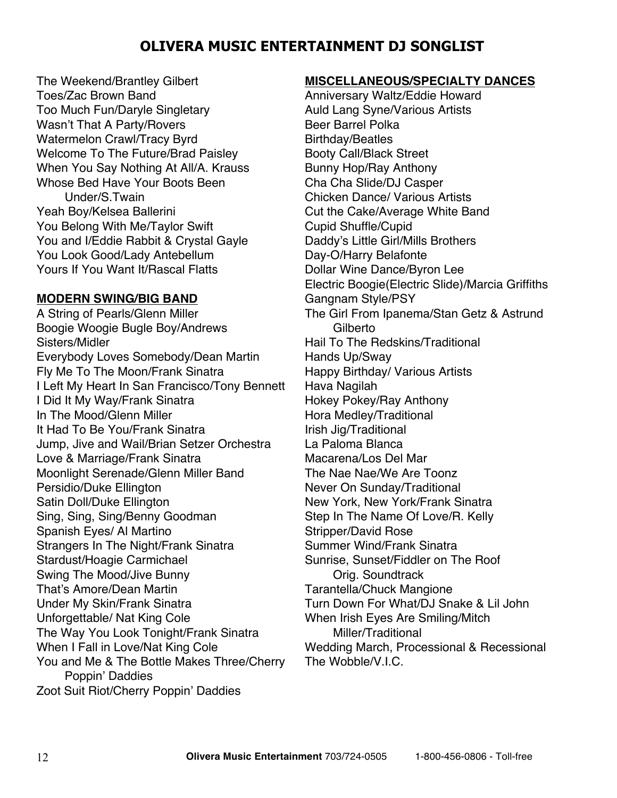The Weekend/Brantley Gilbert Toes/Zac Brown Band Too Much Fun/Daryle Singletary Wasn't That A Party/Rovers Watermelon Crawl/Tracy Byrd Welcome To The Future/Brad Paisley When You Say Nothing At All/A. Krauss Whose Bed Have Your Boots Been Under/S.Twain Yeah Boy/Kelsea Ballerini You Belong With Me/Taylor Swift You and I/Eddie Rabbit & Crystal Gayle You Look Good/Lady Antebellum Yours If You Want It/Rascal Flatts

### **MODERN SWING/BIG BAND**

A String of Pearls/Glenn Miller Boogie Woogie Bugle Boy/Andrews Sisters/Midler Everybody Loves Somebody/Dean Martin Fly Me To The Moon/Frank Sinatra I Left My Heart In San Francisco/Tony Bennett I Did It My Way/Frank Sinatra In The Mood/Glenn Miller It Had To Be You/Frank Sinatra Jump, Jive and Wail/Brian Setzer Orchestra Love & Marriage/Frank Sinatra Moonlight Serenade/Glenn Miller Band Persidio/Duke Ellington Satin Doll/Duke Ellington Sing, Sing, Sing/Benny Goodman Spanish Eyes/ Al Martino Strangers In The Night/Frank Sinatra Stardust/Hoagie Carmichael Swing The Mood/Jive Bunny That's Amore/Dean Martin Under My Skin/Frank Sinatra Unforgettable/ Nat King Cole The Way You Look Tonight/Frank Sinatra When I Fall in Love/Nat King Cole You and Me & The Bottle Makes Three/Cherry Poppin' Daddies Zoot Suit Riot/Cherry Poppin' Daddies

#### **MISCELLANEOUS/SPECIALTY DANCES**

Anniversary Waltz/Eddie Howard Auld Lang Syne/Various Artists Beer Barrel Polka Birthday/Beatles Booty Call/Black Street Bunny Hop/Ray Anthony Cha Cha Slide/DJ Casper Chicken Dance/ Various Artists Cut the Cake/Average White Band Cupid Shuffle/Cupid Daddy's Little Girl/Mills Brothers Day-O/Harry Belafonte Dollar Wine Dance/Byron Lee Electric Boogie(Electric Slide)/Marcia Griffiths Gangnam Style/PSY The Girl From Ipanema/Stan Getz & Astrund **Gilberto** Hail To The Redskins/Traditional Hands Up/Sway Happy Birthday/ Various Artists Hava Nagilah Hokey Pokey/Ray Anthony Hora Medley/Traditional Irish Jig/Traditional La Paloma Blanca Macarena/Los Del Mar The Nae Nae/We Are Toonz Never On Sunday/Traditional New York, New York/Frank Sinatra Step In The Name Of Love/R. Kelly Stripper/David Rose Summer Wind/Frank Sinatra Sunrise, Sunset/Fiddler on The Roof Orig. Soundtrack Tarantella/Chuck Mangione Turn Down For What/DJ Snake & Lil John When Irish Eyes Are Smiling/Mitch Miller/Traditional Wedding March, Processional & Recessional The Wobble/V.I.C.